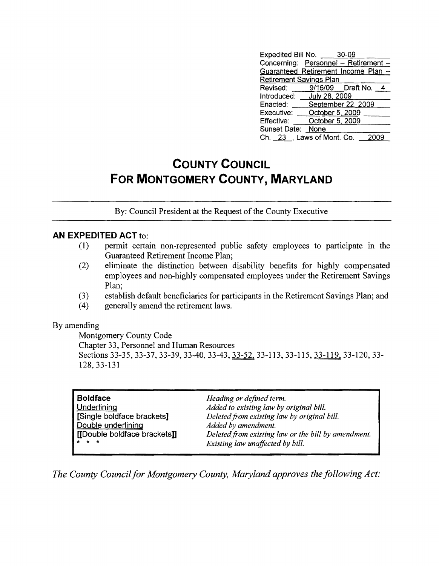| Expedited Bill No. 30-09            |                    |  |
|-------------------------------------|--------------------|--|
| Concerning: Personnel - Retirement  |                    |  |
| Guaranteed Retirement Income Plan - |                    |  |
| <b>Retirement Savings Plan</b>      |                    |  |
| Revised: 9/16/09 Draft No. 4        |                    |  |
| Introduced: July 28, 2009           |                    |  |
| Enacted:                            | September 22, 2009 |  |
| Executive:                          | October $5, 2009$  |  |
| Effective:                          | October 5, 2009    |  |
| Sunset Date: None                   |                    |  |
| Ch. 23 , Laws of Mont. Co.          |                    |  |

## **COUNTY COUNCIL FOR MONTGOMERY COUNTY, MARYLAND**

By: Council President at the Request of the County Executive

## **AN EXPEDITED ACT** to:

- (1) permit certain non-represented public safety employees to participate in the Guaranteed Retirement Income Plan;
- (2) eliminate the distinction between disability benefits for highly compensated employees and non-highly compensated employees under th e Retirement Savings Plan;
- (3) establish default beneficiaries for participants in the Retirem ent Savings Plan; and
- (4) generally amend the retirement laws.

## By amending

Montgomery County Code Chapter 33, Personnel and Human Resources Sections 33-35, 33-37, 33-39, 33-40, 33-43, 33-52, 33-113, 33-115, 33-119, 33-120, 33-128,33-131

| <b>Boldface</b><br>Underlining<br>[Single boldface brackets]<br>Double underlining<br>[[Double boldface brackets]]<br>$\star$ $\star$ $\star$ | Heading or defined term.<br>Added to existing law by original bill.<br>Deleted from existing law by original bill.<br>Added by amendment.<br>Deleted from existing law or the bill by amendment. |
|-----------------------------------------------------------------------------------------------------------------------------------------------|--------------------------------------------------------------------------------------------------------------------------------------------------------------------------------------------------|
|                                                                                                                                               | Existing law unaffected by bill.                                                                                                                                                                 |

*The County Council for Montgomery County, Maryland approves the following Act:*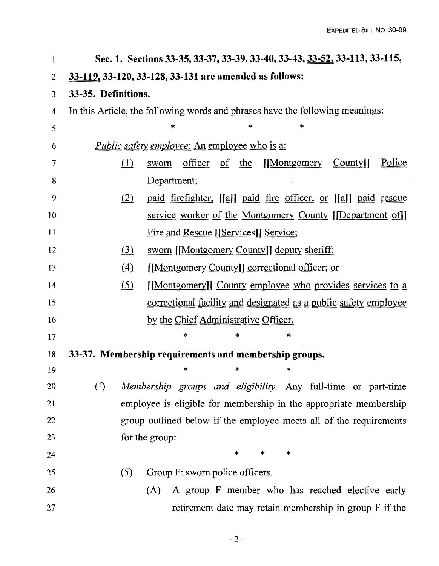| 1              |                     | Sec. 1. Sections 33-35, 33-37, 33-39, 33-40, 33-43, 33-52, 33-113, 33-115,         |
|----------------|---------------------|------------------------------------------------------------------------------------|
| $\overline{2}$ |                     | 33-119, 33-120, 33-128, 33-131 are amended as follows:                             |
| 3              | 33-35. Definitions. |                                                                                    |
| 4              |                     | In this Article, the following words and phrases have the following meanings:      |
| 5              |                     | *<br>*<br>*                                                                        |
| 6              |                     | <i>Public safety employee:</i> An employee who is a:                               |
| 7              | $\Omega$            | [Montgomery<br>Police<br>officer<br>$\sigma f$ the<br>County <sup>1</sup><br>sworn |
| 8              |                     | Department;                                                                        |
| 9              | (2)                 | paid firefighter, [[a]] paid fire officer, or [[a]] paid rescue                    |
| 10             |                     | <u>service worker of the Montgomery County</u> [[Department of]]                   |
| 11             |                     | <u>Fire and Rescue [[Services]] Service;</u>                                       |
| 12             | (3)                 | sworn [[Montgomery County]] deputy sheriff;                                        |
| 13             | (4)                 | [[Montgomery County]] correctional officer; or                                     |
| 14             | <u>(5)</u>          | [[Montgomery]] County employee who provides services to a                          |
| 15             |                     | <u>correctional facility and designated as a public safety employee</u>            |
| 16             |                     | by the Chief Administrative Officer.                                               |
| 17             |                     | *<br>*<br>*                                                                        |
| 18             |                     | 33-37. Membership requirements and membership groups.                              |
| 19             |                     | *<br>*<br>$\ast$                                                                   |
| 20             | (f)                 | Membership groups and eligibility. Any full-time or part-time                      |
| 21             |                     | employee is eligible for membership in the appropriate membership                  |
| 22             |                     | group outlined below if the employee meets all of the requirements                 |
| 23             |                     | for the group:                                                                     |
| 24             |                     | $\ast$<br>*<br>*                                                                   |
| 25             | (5)                 | Group F: sworn police officers.                                                    |
| 26             |                     | A group F member who has reached elective early<br>(A)                             |
| 27             |                     | retirement date may retain membership in group F if the                            |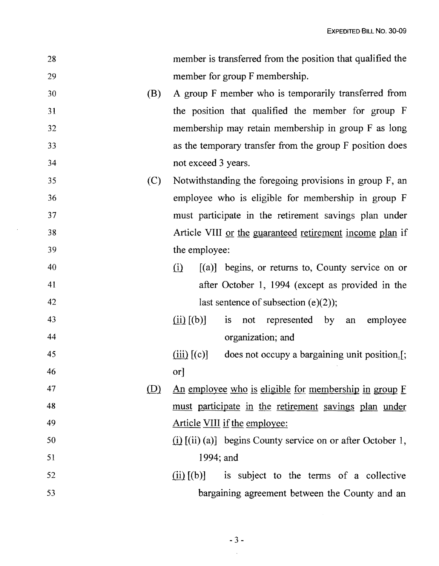| 28 |     | member is transferred from the position that qualified the                                                   |
|----|-----|--------------------------------------------------------------------------------------------------------------|
| 29 |     | member for group F membership.                                                                               |
| 30 | (B) | A group F member who is temporarily transferred from                                                         |
| 31 |     | the position that qualified the member for group F                                                           |
| 32 |     | membership may retain membership in group F as long                                                          |
| 33 |     | as the temporary transfer from the group F position does                                                     |
| 34 |     | not exceed 3 years.                                                                                          |
| 35 | (C) | Notwithstanding the foregoing provisions in group F, an                                                      |
| 36 |     | employee who is eligible for membership in group F                                                           |
| 37 |     | must participate in the retirement savings plan under                                                        |
| 38 |     | Article VIII or the guaranteed retirement income plan if                                                     |
| 39 |     | the employee:                                                                                                |
| 40 |     | $[(a)]$ begins, or returns to, County service on or<br>$\Omega$                                              |
| 41 |     | after October 1, 1994 (except as provided in the                                                             |
| 42 |     | last sentence of subsection (e)(2));                                                                         |
| 43 |     | $\left(\underline{\text{ii}}\right)$ $\left[\text{(b)}\right]$<br>not represented by<br>employee<br>is<br>an |
| 44 |     | organization; and                                                                                            |
| 45 |     | $(iii)$ $[(c)]$<br>does not occupy a bargaining unit position.[;                                             |
| 46 |     | or <sup>1</sup>                                                                                              |
| 47 | (D) | <u>An employee who is eligible for membership in group F</u>                                                 |
| 48 |     | must participate in the retirement savings plan under                                                        |
| 49 |     | Article VIII if the employee:                                                                                |
| 50 |     | $(i)$ [(ii) (a)] begins County service on or after October 1,                                                |
| 51 |     | 1994; and                                                                                                    |
| 52 |     | $(ii)$ [(b)] is subject to the terms of a collective                                                         |
| 53 |     | bargaining agreement between the County and an                                                               |

 $\sim$   $\sim$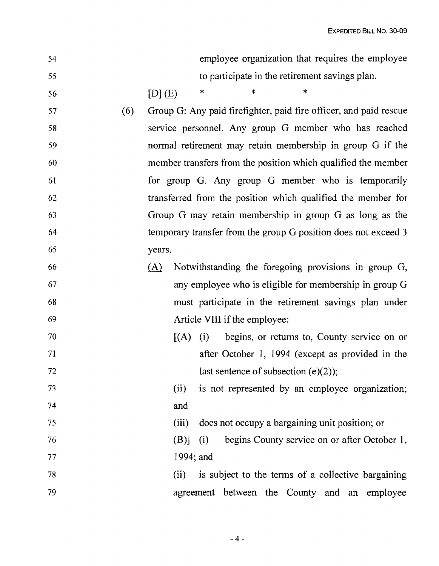| 54 |     |                                                                   |           |                               | employee organization that requires the employee       |  |
|----|-----|-------------------------------------------------------------------|-----------|-------------------------------|--------------------------------------------------------|--|
| 55 |     |                                                                   |           |                               | to participate in the retirement savings plan.         |  |
| 56 |     | $[D]$ $(E)$                                                       | *         | *                             |                                                        |  |
| 57 | (6) | Group G: Any paid firefighter, paid fire officer, and paid rescue |           |                               |                                                        |  |
| 58 |     | service personnel. Any group G member who has reached             |           |                               |                                                        |  |
| 59 |     | normal retirement may retain membership in group G if the         |           |                               |                                                        |  |
| 60 |     | member transfers from the position which qualified the member     |           |                               |                                                        |  |
| 61 |     | for group G. Any group G member who is temporarily                |           |                               |                                                        |  |
| 62 |     | transferred from the position which qualified the member for      |           |                               |                                                        |  |
| 63 |     | Group G may retain membership in group G as long as the           |           |                               |                                                        |  |
| 64 |     | temporary transfer from the group G position does not exceed 3    |           |                               |                                                        |  |
| 65 |     | years.                                                            |           |                               |                                                        |  |
| 66 |     | (A)                                                               |           |                               | Notwithstanding the foregoing provisions in group G,   |  |
| 67 |     |                                                                   |           |                               | any employee who is eligible for membership in group G |  |
| 68 |     |                                                                   |           |                               | must participate in the retirement savings plan under  |  |
| 69 |     |                                                                   |           | Article VIII if the employee: |                                                        |  |
| 70 |     |                                                                   | $(A)$ (i) |                               | begins, or returns to, County service on or            |  |
| 71 |     |                                                                   |           |                               | after October 1, 1994 (except as provided in the       |  |
| 72 |     |                                                                   |           |                               | last sentence of subsection $(e)(2)$ ;                 |  |
| 73 |     | (ii)                                                              |           |                               | is not represented by an employee organization;        |  |
| 74 |     | and                                                               |           |                               |                                                        |  |
| 75 |     | (iii)                                                             |           |                               | does not occupy a bargaining unit position; or         |  |
| 76 |     | (B)]                                                              | (i)       |                               | begins County service on or after October 1,           |  |
| 77 |     |                                                                   | 1994; and |                               |                                                        |  |
| 78 |     | (ii)                                                              |           |                               | is subject to the terms of a collective bargaining     |  |
| 79 |     |                                                                   |           |                               | agreement between the County and an employee           |  |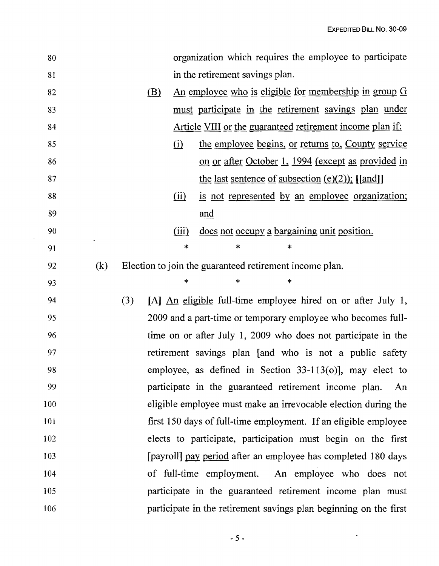$\sim 10^{11}$ 

| 80  |     |            |          | organization which requires the employee to participate           |
|-----|-----|------------|----------|-------------------------------------------------------------------|
| 81  |     |            |          | in the retirement savings plan.                                   |
| 82  |     | <u>(B)</u> |          | <u>An employee who is eligible for membership in group G</u>      |
| 83  |     |            |          | must participate in the retirement savings plan under             |
| 84  |     |            |          | <u>Article VIII or the guaranteed retirement income plan if:</u>  |
| 85  |     |            | $\Omega$ | the employee begins, or returns to, County service                |
| 86  |     |            |          | <u>on or after October 1, 1994 (except as provided in</u>         |
| 87  |     |            |          | the last sentence of subsection $(e)(2)$ ; [[and]]                |
| 88  |     |            | (ii)     | is not represented by an employee organization;                   |
| 89  |     |            |          | and                                                               |
| 90  |     |            | (iii)    | does not occupy a bargaining unit position.                       |
| 91  |     |            | $\ast$   | $\ast$<br>*                                                       |
| 92  | (k) |            |          | Election to join the guaranteed retirement income plan.           |
| 93  |     |            | *        | ∗<br>∗                                                            |
| 94  |     | (3)        |          | [A] An eligible full-time employee hired on or after July 1,      |
| 95  |     |            |          | 2009 and a part-time or temporary employee who becomes full-      |
| 96  |     |            |          | time on or after July 1, 2009 who does not participate in the     |
| 97  |     |            |          | retirement savings plan [and who is not a public safety           |
| 98  |     |            |          | employee, as defined in Section $33-113(0)$ , may elect to        |
| 99  |     |            |          | participate in the guaranteed retirement income plan.<br>An       |
| 100 |     |            |          | eligible employee must make an irrevocable election during the    |
| 101 |     |            |          | first 150 days of full-time employment. If an eligible employee   |
| 102 |     |            |          | elects to participate, participation must begin on the first      |
| 103 |     |            |          | [payroll] pay period after an employee has completed 180 days     |
| 104 |     |            |          | of full-time employment. An employee who does not                 |
| 105 |     |            |          | participate in the guaranteed retirement income plan must         |
| 106 |     |            |          | participate in the retirement savings plan beginning on the first |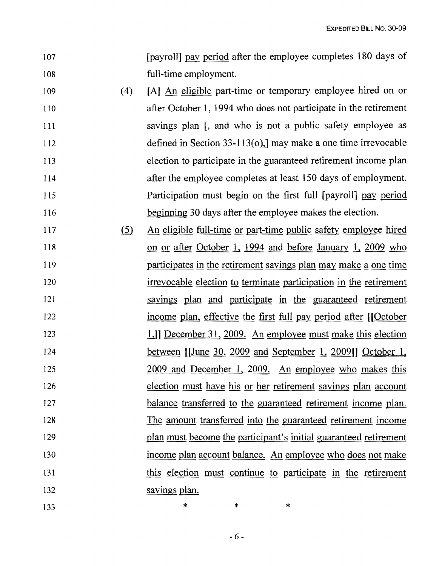EXPEDITED BILL No. 30-09

- 107 **Importance is a property in the employee completes 180 days of**  $\alpha$ 108 full-time employment.
- 109 (4) [A] An eligible part-time or temporary employee hired on or 110 after October 1, 1994 who does not participate in the retirement 111 savings plan [, and who is not a public safety employee as 112 defined in Section 33-113(0),] may make a one time irrevocable 113 election to participate in the guaranteed retirement income plan 114 after the employee completes at least 150 days of employment. 115 Participation must begin on the first full [payroll] pay period 116 beginning 30 days after the employee makes the election.
- 117 (5) An eligible full-time or part-time public safety employee hired 118 on or after October 1, 1994 and before January 1, 2009 who 119 **participates in the retirement savings plan may make a one time** 120 irrevocable election to terminate participation in the retirement 121 savings plan and participate in the guaranteed retirement 122 income plan, effective the first full pay period after [[October] 123 123 1.]] December 31, 2009. An employee must make this election 124 between [[June 30, 2009 and September 1, 2009]] October 1, 125 2009 and December I, 2009. An employee who makes this 126 election must have his or her retirement savings plan account 127 balance transferred to the guaranteed retirement income plan. 128 The amount transferred into the guaranteed retirement income 129 plan must become the participant's initial guaranteed retirement 130 income plan account balance. An employee who does not make 131 this election must continue to participate in the retirement 132 savings plan.

133 **\*** \* \* \*

 $-6-$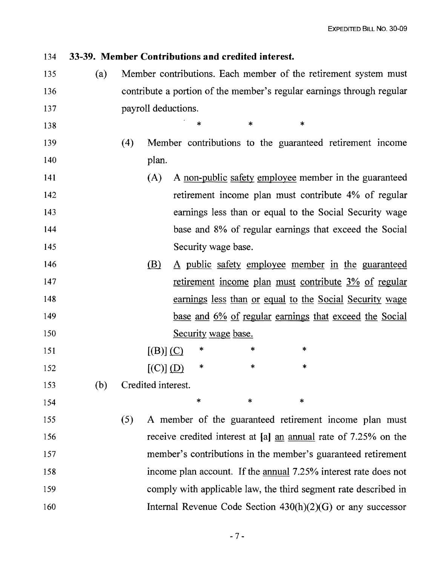## 134 **33-39. Member Contributions and credited interest.**

135 (a) Member contributions. Each member of the retirement system must 136 contribute a portion of the member's regular earnings through regular 137 payroll deductions.

 $138$  \* \* \*

- 139 (4) Member contributions to the guaranteed retirement Income 140 plan.
- 141 (A) A non-public safety employee member in the guaranteed 142 retirement income plan must contribute 4% of regular 143 earnings less than or equal to the Social Security wage 144 base and 8% of regular earnings that exceed the Social 145 Security wage base.
- 146 (B) A public safety employee member in the guaranteed 147 retirement income plan must contribute 3% of regular 148 earnings less than or equal to the Social Security wage 149 base and 6% of regular earnings that exceed the Social 150 Security wage base.

151  $[(B)]$   $(C)$  \* \* \* 152  $[(C)] (D) * * *$ 

153 (b) Credited interest.

 $154$  \* \* \*

155 (5) A member of the guaranteed retirement Income plan must 156 receive credited interest at [a] an annual rate of 7.25% on the 157 member's contributions in the member's guaranteed retirement 158 income plan account. If the annual 7.25% interest rate does not 159 comply with applicable law, the third segment rate described in 160 Internal Revenue Code Section 430(h)(2)(G) or any successor

 $-7-$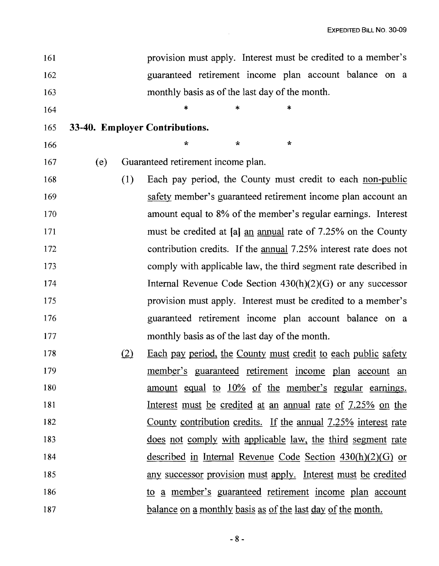| 161 |     |     | provision must apply. Interest must be credited to a member's           |
|-----|-----|-----|-------------------------------------------------------------------------|
| 162 |     |     | guaranteed retirement income plan account balance on a                  |
| 163 |     |     | monthly basis as of the last day of the month.                          |
| 164 |     |     | $\ast$<br>$\ast$<br>*                                                   |
| 165 |     |     | 33-40. Employer Contributions.                                          |
| 166 |     |     | $\star$<br>$\star$<br>$\star$                                           |
| 167 | (e) |     | Guaranteed retirement income plan.                                      |
| 168 |     | (1) | Each pay period, the County must credit to each non-public              |
| 169 |     |     | safety member's guaranteed retirement income plan account an            |
| 170 |     |     | amount equal to 8% of the member's regular earnings. Interest           |
| 171 |     |     | must be credited at [a] an annual rate of 7.25% on the County           |
| 172 |     |     | contribution credits. If the <u>annual</u> 7.25% interest rate does not |
| 173 |     |     | comply with applicable law, the third segment rate described in         |
| 174 |     |     | Internal Revenue Code Section $430(h)(2)(G)$ or any successor           |
| 175 |     |     | provision must apply. Interest must be credited to a member's           |
| 176 |     |     | guaranteed retirement income plan account balance on a                  |
| 177 |     |     | monthly basis as of the last day of the month.                          |
| 178 |     | (2) | <u>Each pay period, the County must credit to each public safety</u>    |
| 179 |     |     | <u>member's</u> guaranteed retirement income plan account an            |
| 180 |     |     | amount equal to 10% of the member's regular earnings.                   |
| 181 |     |     | <u>Interest must be credited at an annual rate of 7.25% on the</u>      |
| 182 |     |     | County contribution credits. If the annual 7.25% interest rate          |
| 183 |     |     | <u>does not comply with applicable law, the third segment rate</u>      |
| 184 |     |     | described in Internal Revenue Code Section $430(h)(2)(G)$ or            |
| 185 |     |     | any successor provision must apply. Interest must be credited           |
| 186 |     |     | to a member's guaranteed retirement income plan account                 |
| 187 |     |     | <u>balance on a monthly basis as of the last day of the month.</u>      |

 $\mathcal{L}(\mathcal{L}^{\text{max}})$  and  $\mathcal{L}^{\text{max}}$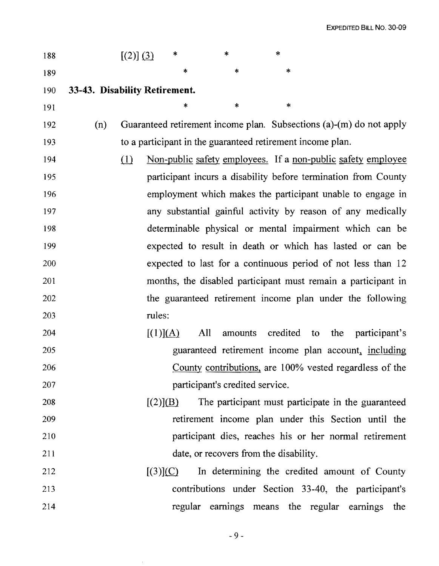| 188 |                               | [(2)] (3) | $\ast$ | $\ast$                                                              | $\ast$ |  |
|-----|-------------------------------|-----------|--------|---------------------------------------------------------------------|--------|--|
| 189 |                               |           | $\ast$ | *                                                                   | $\ast$ |  |
| 190 | 33-43. Disability Retirement. |           |        |                                                                     |        |  |
|     |                               |           |        |                                                                     |        |  |
| 191 |                               |           | $\ast$ | $\ast$                                                              | $\ast$ |  |
| 192 | (n)                           |           |        | Guaranteed retirement income plan. Subsections (a)-(m) do not apply |        |  |
| 193 |                               |           |        | to a participant in the guaranteed retirement income plan.          |        |  |
| 194 |                               | (1)       |        | Non-public safety employees. If a non-public safety employee        |        |  |
| 195 |                               |           |        | participant incurs a disability before termination from County      |        |  |
| 196 |                               |           |        | employment which makes the participant unable to engage in          |        |  |
| 197 |                               |           |        | any substantial gainful activity by reason of any medically         |        |  |
| 198 |                               |           |        | determinable physical or mental impairment which can be             |        |  |
| 199 |                               |           |        | expected to result in death or which has lasted or can be           |        |  |
|     |                               |           |        |                                                                     |        |  |

- 199 expected to result in death or which has lasted or can be 200 expected to last for a continuous period of not less than 12 201 months, the disabled participant must remain a participant in 202 the guaranteed retirement income plan under the following 203 rules:
- 204  $[(1)](A)$  All amounts credited to the participant's 205 guaranteed retirement income plan account, including 206 **206 County contributions, are 100% vested regardless of the** 207 participant's credited service.
- 208  $[(2)](B)$  The participant must participate in the guaranteed 209 retirement income plan under this Section until the 210 participant dies, reaches his or her normal retirement 211 date, or recovers from the disability.
- $[3]$ (C) In determining the credited amount of County 213 contributions under Section 33-40, the participant's 214 **regular earnings means the regular earnings the**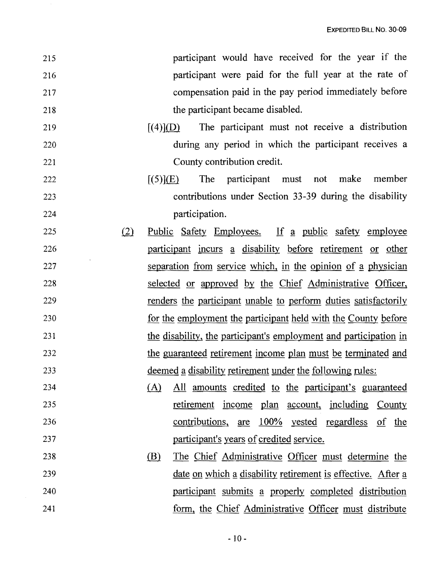| 215        | participant would have received for the year if the                                                       |
|------------|-----------------------------------------------------------------------------------------------------------|
| 216        | participant were paid for the full year at the rate of                                                    |
| 217        | compensation paid in the pay period immediately before                                                    |
| 218        | the participant became disabled.                                                                          |
| 219        | The participant must not receive a distribution<br>$\left[ (4)\right]$ (D)                                |
| 220        | during any period in which the participant receives a                                                     |
| 221        | County contribution credit.                                                                               |
| 222        | participant must not make member<br>[(5)](E)<br>The                                                       |
| 223        | contributions under Section 33-39 during the disability                                                   |
| 224        | participation.                                                                                            |
| (2)<br>225 | <u>Public Safety Employees. If a public safety employee</u>                                               |
| 226        | participant incurs a disability before retirement or other                                                |
| 227        | separation from service which, in the opinion of a physician                                              |
| 228        | selected or approved by the Chief Administrative Officer,                                                 |
| 229        | renders the participant unable to perform duties satisfactorily                                           |
| 230        | for the employment the participant held with the County before                                            |
| 231        | the disability, the participant's employment and participation in                                         |
| 232        | the guaranteed retirement income plan must be terminated and                                              |
| 233        | deemed a disability retirement under the following rules:                                                 |
| 234        | All amounts credited to the participant's guaranteed<br>(A)                                               |
| 235        | retirement income plan account, including County                                                          |
| 236        | $\frac{\text{contributions}}{\text{correlations}}$ are $\frac{100\%}{\text{vested}}$ regardless of<br>the |
| 237        | <u>participant's years of credited service.</u>                                                           |
| 238        | <u>(B)</u><br>The Chief Administrative Officer must determine the                                         |
| 239        | <u>date on which a disability retirement is effective. After a</u>                                        |
| 240        | participant submits a properly completed distribution                                                     |
|            |                                                                                                           |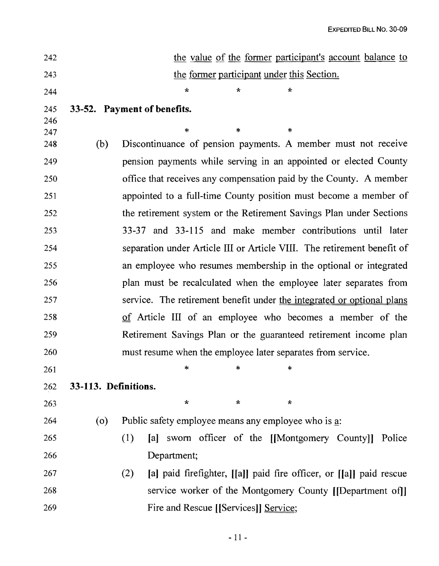| 242        |                      | the value of the former participant's account balance to                   |  |  |  |  |  |  |  |
|------------|----------------------|----------------------------------------------------------------------------|--|--|--|--|--|--|--|
| 243        |                      | the former participant under this Section.                                 |  |  |  |  |  |  |  |
| 244        |                      | $\star$<br>∗<br>÷                                                          |  |  |  |  |  |  |  |
| 245<br>246 |                      | 33-52. Payment of benefits.                                                |  |  |  |  |  |  |  |
| 247        |                      | $\ast$<br>$\ast$<br>∗                                                      |  |  |  |  |  |  |  |
| 248        | (b)                  | Discontinuance of pension payments. A member must not receive              |  |  |  |  |  |  |  |
| 249        |                      | pension payments while serving in an appointed or elected County           |  |  |  |  |  |  |  |
| 250        |                      | office that receives any compensation paid by the County. A member         |  |  |  |  |  |  |  |
| 251        |                      | appointed to a full-time County position must become a member of           |  |  |  |  |  |  |  |
| 252        |                      | the retirement system or the Retirement Savings Plan under Sections        |  |  |  |  |  |  |  |
| 253        |                      | 33-37 and 33-115 and make member contributions until later                 |  |  |  |  |  |  |  |
| 254        |                      | separation under Article III or Article VIII. The retirement benefit of    |  |  |  |  |  |  |  |
| 255        |                      | an employee who resumes membership in the optional or integrated           |  |  |  |  |  |  |  |
| 256        |                      | plan must be recalculated when the employee later separates from           |  |  |  |  |  |  |  |
| 257        |                      | service. The retirement benefit under the integrated or optional plans     |  |  |  |  |  |  |  |
| 258        |                      | of Article III of an employee who becomes a member of the                  |  |  |  |  |  |  |  |
| 259        |                      | Retirement Savings Plan or the guaranteed retirement income plan           |  |  |  |  |  |  |  |
| 260        |                      | must resume when the employee later separates from service.                |  |  |  |  |  |  |  |
| 261        |                      | *<br>*<br>∗                                                                |  |  |  |  |  |  |  |
| 262        | 33-113. Definitions. |                                                                            |  |  |  |  |  |  |  |
| 263        |                      | $\star$<br>$\star$<br>$\star$                                              |  |  |  |  |  |  |  |
| 264        | $\overline{O}$       | Public safety employee means any employee who is a:                        |  |  |  |  |  |  |  |
| 265        |                      | sworn officer of the [[Montgomery County]]<br>(1)<br>[a]<br>Police         |  |  |  |  |  |  |  |
| 266        |                      | Department;                                                                |  |  |  |  |  |  |  |
| 267        |                      | [a] paid firefighter, [[a]] paid fire officer, or [[a]] paid rescue<br>(2) |  |  |  |  |  |  |  |
| 268        |                      | service worker of the Montgomery County [[Department of]]                  |  |  |  |  |  |  |  |
| 269        |                      | Fire and Rescue [[Services]] Service;                                      |  |  |  |  |  |  |  |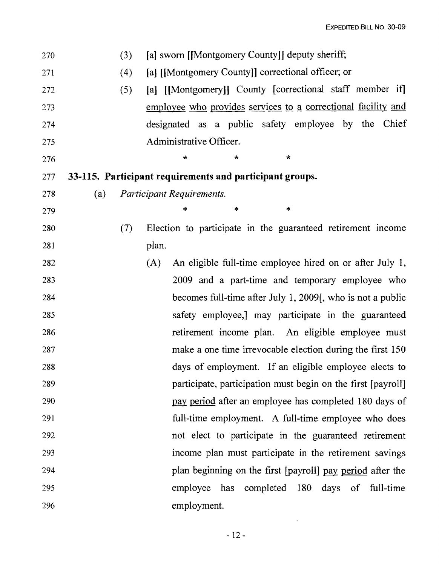| 270 |     | (3) | [a] sworn [[Montgomery County]] deputy sheriff;                 |
|-----|-----|-----|-----------------------------------------------------------------|
| 271 |     | (4) | [a] [[Montgomery County]] correctional officer; or              |
| 272 |     | (5) | [a] [[Montgomery]] County [correctional staff member if]        |
| 273 |     |     | employee who provides services to a correctional facility and   |
| 274 |     |     | designated as a public safety employee by the Chief             |
| 275 |     |     | Administrative Officer.                                         |
| 276 |     |     | $\star$<br>$\star$<br>÷                                         |
| 277 |     |     | 33-115. Participant requirements and participant groups.        |
| 278 | (a) |     | Participant Requirements.                                       |
| 279 |     |     | ∗<br>*<br>*                                                     |
| 280 |     | (7) | Election to participate in the guaranteed retirement income     |
| 281 |     |     | plan.                                                           |
| 282 |     |     | An eligible full-time employee hired on or after July 1,<br>(A) |
| 283 |     |     | 2009 and a part-time and temporary employee who                 |
| 284 |     |     | becomes full-time after July 1, 2009, who is not a public       |
| 285 |     |     | safety employee, may participate in the guaranteed              |
| 286 |     |     | retirement income plan. An eligible employee must               |
| 287 |     |     | make a one time irrevocable election during the first 150       |
| 288 |     |     | days of employment. If an eligible employee elects to           |
| 289 |     |     | participate, participation must begin on the first [payroll]    |
| 290 |     |     | pay period after an employee has completed 180 days of          |
| 291 |     |     | full-time employment. A full-time employee who does             |
| 292 |     |     | not elect to participate in the guaranteed retirement           |
| 293 |     |     | income plan must participate in the retirement savings          |
| 294 |     |     | plan beginning on the first [payroll] pay period after the      |
| 295 |     |     | has completed 180 days of full-time<br>employee                 |
| 296 |     |     | employment.                                                     |

 $\sim 10^{-11}$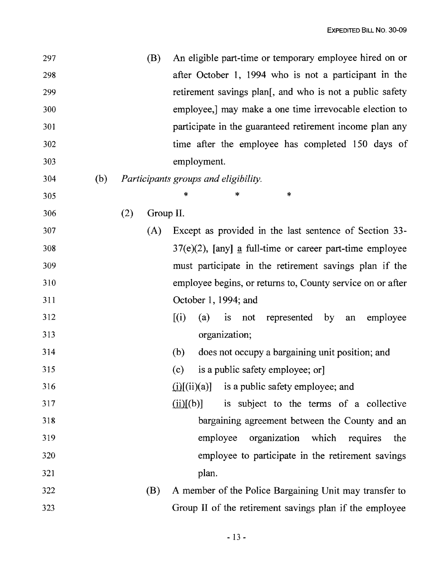| 297 |     |     | (B)       | An eligible part-time or temporary employee hired on or     |
|-----|-----|-----|-----------|-------------------------------------------------------------|
| 298 |     |     |           | after October 1, 1994 who is not a participant in the       |
| 299 |     |     |           | retirement savings plan[, and who is not a public safety    |
| 300 |     |     |           | employee,] may make a one time irrevocable election to      |
| 301 |     |     |           | participate in the guaranteed retirement income plan any    |
| 302 |     |     |           | time after the employee has completed 150 days of           |
| 303 |     |     |           | employment.                                                 |
| 304 | (b) |     |           | Participants groups and eligibility.                        |
| 305 |     |     |           | *<br>*<br>*                                                 |
| 306 |     | (2) | Group II. |                                                             |
| 307 |     |     | (A)       | Except as provided in the last sentence of Section 33-      |
| 308 |     |     |           | $37(e)(2)$ , [any] a full-time or career part-time employee |
| 309 |     |     |           | must participate in the retirement savings plan if the      |
| 310 |     |     |           | employee begins, or returns to, County service on or after  |
| 311 |     |     |           | October 1, 1994; and                                        |
| 312 |     |     |           | [(i)]<br>is not represented by an<br>employee<br>(a)        |
| 313 |     |     |           | organization;                                               |
| 314 |     |     |           | does not occupy a bargaining unit position; and<br>(b)      |
| 315 |     |     |           | is a public safety employee; or]<br>(c)                     |
| 316 |     |     |           | $(i)[(ii)(a)]$ is a public safety employee; and             |
| 317 |     |     |           | (ii)[(b)]<br>is subject to the terms of a collective        |
| 318 |     |     |           | bargaining agreement between the County and an              |
| 319 |     |     |           | employee organization which requires<br>the                 |
| 320 |     |     |           | employee to participate in the retirement savings           |
| 321 |     |     |           | plan.                                                       |
| 322 |     |     | (B)       | A member of the Police Bargaining Unit may transfer to      |
| 323 |     |     |           | Group II of the retirement savings plan if the employee     |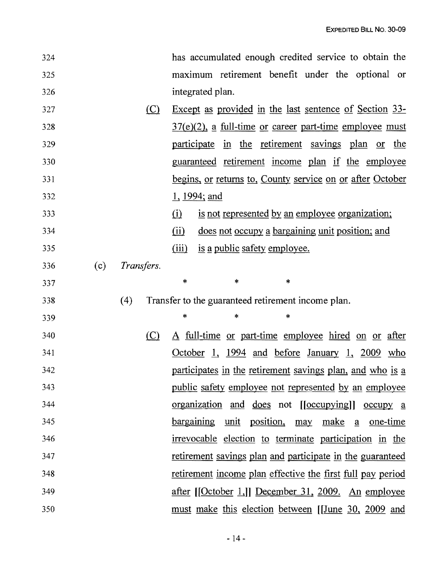| 324 |     |            | has accumulated enough credited service to obtain the                       |
|-----|-----|------------|-----------------------------------------------------------------------------|
| 325 |     |            | maximum retirement benefit under the optional or                            |
| 326 |     |            | integrated plan.                                                            |
| 327 |     | $\Omega$   | Except as provided in the last sentence of Section 33-                      |
| 328 |     |            | $37(e)(2)$ , a full-time or career part-time employee must                  |
| 329 |     |            | participate in the retirement savings plan or the                           |
| 330 |     |            | guaranteed retirement income plan if the employee                           |
| 331 |     |            | <u>begins, or returns to, County service on or after October</u>            |
| 332 |     |            | <u>1, 1994; and</u>                                                         |
| 333 |     |            | is not represented by an employee organization;<br>$\Omega$                 |
| 334 |     |            | does not occupy a bargaining unit position; and<br>$\overline{(\text{ii})}$ |
| 335 |     |            | is a public safety employee.<br>(iii)                                       |
| 336 | (c) | Transfers. |                                                                             |
| 337 |     |            | $\ast$<br>$\ast$<br>$\ast$                                                  |
| 338 |     | (4)        | Transfer to the guaranteed retirement income plan.                          |
| 339 |     |            | $\ast$<br>$\ast$<br>*                                                       |
| 340 |     | $\circ$    | A full-time or part-time employee hired on or after                         |
| 341 |     |            | October 1, 1994 and before January 1, 2009 who                              |
| 342 |     |            | participates in the retirement savings plan, and who is a                   |
| 343 |     |            | <u>public safety employee not represented by an employee</u>                |
| 344 |     |            | organization and does not [[occupying]] occupy a                            |
| 345 |     |            | bargaining unit position, may make a one-time                               |
| 346 |     |            | irrevocable election to terminate participation in the                      |
| 347 |     |            | retirement savings plan and participate in the guaranteed                   |
| 348 |     |            | retirement income plan effective the first full pay period                  |
| 349 |     |            | after [[October 1,]] December 31, 2009. An employee                         |
| 350 |     |            | must make this election between [June 30, 2009 and                          |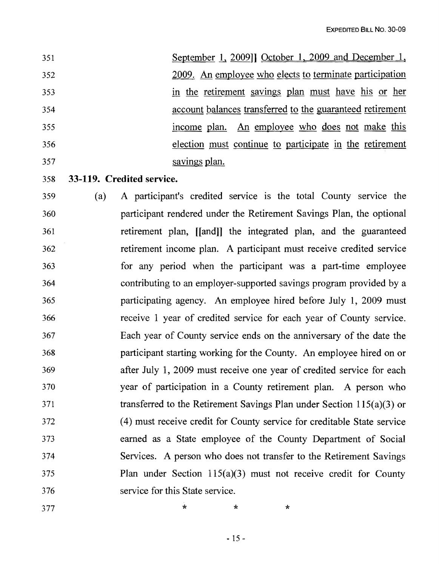| 351 | September 1, 2009]] October 1, 2009 and December 1,       |
|-----|-----------------------------------------------------------|
| 352 | 2009. An employee who elects to terminate participation   |
| 353 | in the retirement savings plan must have his or her       |
| 354 | account balances transferred to the guaranteed retirement |
| 355 | income plan. An employee who does not make this           |
| 356 | election must continue to participate in the retirement   |
| 357 | savings plan.                                             |

- 358 **33-119. Credited service.**
- 359 (a) A participant's credited service is the total County service the 360 participant rendered under the Retirement Savings Plan, the optional 361 retirement plan, [[and]] the integrated plan, and the guaranteed 362 retirement income plan. A participant must receive credited service 363 for any period when the participant was a part-time employee 364 contributing to an employer-supported savings program provided by a 365 participating agency. An employee hired before July 1, 2009 must 366 receive 1 year of credited service for each year of County service. 367 Each year of County service ends on the anniversary of the date the 368 participant starting working for the County. An employee hired on or 369 after July 1, 2009 must receive one year of credited service for each 370 year of participation in a County retirement plan. A person who 371 transferred to the Retirement Savings Plan under Section 115(a)(3) or 372 (4) must receive credit for County service for creditable State service 373 earned as a State employee of the County Department of Social 374 Services. A person who does not transfer to the Retirement Savings 375 Plan under Section 115(a)(3) must not receive credit for County 376 service for this State service.

377 \* \* \* \*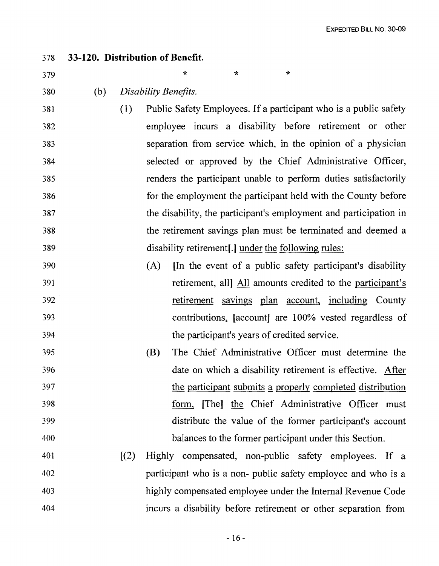| 378 |     |       | 33-120. Distribution of Benefit.                                  |
|-----|-----|-------|-------------------------------------------------------------------|
| 379 |     |       | $\star$<br>∗<br>÷                                                 |
| 380 | (b) |       | Disability Benefits.                                              |
| 381 |     | (1)   | Public Safety Employees. If a participant who is a public safety  |
| 382 |     |       | employee incurs a disability before retirement or other           |
| 383 |     |       | separation from service which, in the opinion of a physician      |
| 384 |     |       | selected or approved by the Chief Administrative Officer,         |
| 385 |     |       | renders the participant unable to perform duties satisfactorily   |
| 386 |     |       | for the employment the participant held with the County before    |
| 387 |     |       | the disability, the participant's employment and participation in |
| 388 |     |       | the retirement savings plan must be terminated and deemed a       |
| 389 |     |       | disability retirement[.] under the following rules:               |
| 390 |     |       | In the event of a public safety participant's disability<br>(A)   |
| 391 |     |       | retirement, all All amounts credited to the participant's         |
| 392 |     |       | retirement savings plan account, including County                 |
| 393 |     |       | contributions, [account] are 100% vested regardless of            |
| 394 |     |       | the participant's years of credited service.                      |
| 395 |     |       | The Chief Administrative Officer must determine the<br>(B)        |
| 396 |     |       | date on which a disability retirement is effective. After         |
| 397 |     |       | the participant submits a properly completed distribution         |
| 398 |     |       | form, [The] the Chief Administrative Officer must                 |
| 399 |     |       | distribute the value of the former participant's account          |
| 400 |     |       | balances to the former participant under this Section.            |
| 401 |     | [(2)] | Highly compensated, non-public safety employees. If a             |
| 402 |     |       | participant who is a non- public safety employee and who is a     |
| 403 |     |       | highly compensated employee under the Internal Revenue Code       |
| 404 |     |       | incurs a disability before retirement or other separation from    |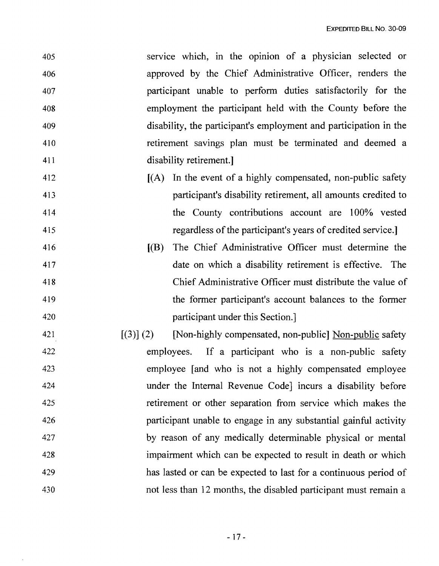| service which, in the opinion of a physician selected or            |
|---------------------------------------------------------------------|
| approved by the Chief Administrative Officer, renders the           |
| participant unable to perform duties satisfactorily for the         |
| employment the participant held with the County before the          |
| disability, the participant's employment and participation in the   |
| retirement savings plan must be terminated and deemed a             |
| disability retirement.                                              |
| In the event of a highly compensated, non-public safety<br>(A)      |
| participant's disability retirement, all amounts credited to        |
| the County contributions account are 100% vested                    |
| regardless of the participant's years of credited service.          |
| [(B)]<br>The Chief Administrative Officer must determine the        |
| date on which a disability retirement is effective. The             |
| Chief Administrative Officer must distribute the value of           |
| the former participant's account balances to the former             |
| participant under this Section.                                     |
| [Non-highly compensated, non-public] Non-public safety<br>[(3)] (2) |
| If a participant who is a non-public safety<br>employees.           |
| employee [and who is not a highly compensated employee              |
|                                                                     |
| under the Internal Revenue Code incurs a disability before          |
| retirement or other separation from service which makes the         |
| participant unable to engage in any substantial gainful activity    |
| by reason of any medically determinable physical or mental          |
|                                                                     |

429 has lasted or can be expected to last for a continuous period of 430 not less than 12 months, the disabled participant must remain a

 $\bar{\epsilon}$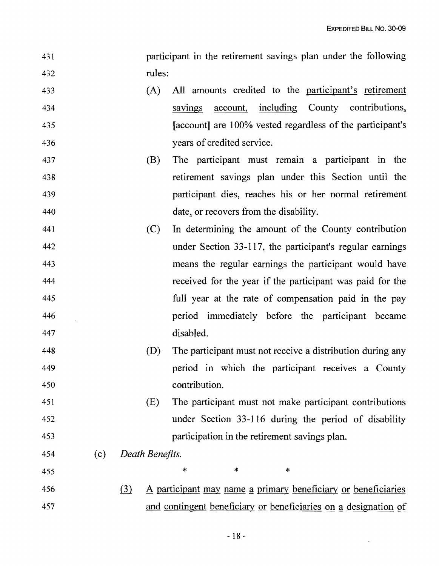| 431  | participant in the retirement savings plan under the following |  |  |  |  |
|------|----------------------------------------------------------------|--|--|--|--|
| -432 | rules:                                                         |  |  |  |  |

- 433 (A) All amounts credited to the participant's retirement 434 savings account, including County contributions, 435 **Exercise 2.1** [account] are 100% vested regardless of the participant's 436 years of credited service.
- 437 (B) The participant must remain a participant in the 438 retirement savings plan under this Section until the 439 participant dies, reaches his or her normal retirement 440 date, or recovers from the disability.
- 441 (C) In determining the amount of the County contribution 442 under Section 33-117, the participant's regular earnings 443 means the regular earnings the participant would have 444 received for the year if the participant was paid for the 445 full year at the rate of compensation paid in the pay 446 period immediately before the participant became 447 disabled.
- 448 (D) The participant must not receive a distribution during any 449 period in which the participant receives a County 450 contribution.
- 451 (E) The participant must not make participant contributions 452 under Section 33-116 during the period of disability 453 participation in the retirement savings plan.
- 454 (c) *Death Benefits.*
- 455 **\*** \* \* \*
- 456 (3) A participant may name a primary beneficiary or beneficiaries 457 and contingent beneficiary or beneficiaries on a designation of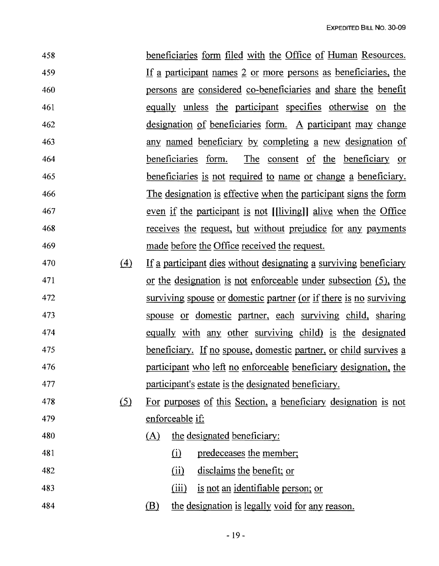| 458 | beneficiaries form filed with the Office of Human Resources.     |
|-----|------------------------------------------------------------------|
| 459 | If a participant names 2 or more persons as beneficiaries, the   |
| 460 | persons are considered co-beneficiaries and share the benefit    |
| 461 | equally unless the participant specifies otherwise on the        |
| 462 | designation of beneficiaries form. A participant may change      |
| 463 | any named beneficiary by completing a new designation of         |
| 464 | <u>beneficiaries</u> form. The consent of the beneficiary or     |
| 465 | beneficiaries is not required to name or change a beneficiary.   |
| 466 | The designation is effective when the participant signs the form |
| 467 | even if the participant is not [[living]] alive when the Office  |
| 468 | receives the request, but without prejudice for any payments     |
| 469 | made before the Office received the request.                     |
|     |                                                                  |

- 470 (4) If a participant dies without designating a surviving beneficiary 471 or the designation is not enforceable under subsection (5), the 472 surviving spouse or domestic partner (or if there is no surviving 473 spouse or domestic partner, each surviving child, sharing 474 equally with any other surviving child) is the designated 475 beneficiary. If no spouse, domestic partner, or child survives a 476 participant who left no enforceable beneficiary designation, the 477 participant's estate is the designated beneficiary.
- 478 (5) For purposes of this Section, a beneficiary designation is not 479 enforceable if:
- 480 (A) the designated beneficiary:
- 481 (i) predeceases the member;
- 482 (ii) disclaims the benefit; or
- 483 (iii) is not an identifiable person; or
- 484 **.frace (B)** the designation is legally void for any reason.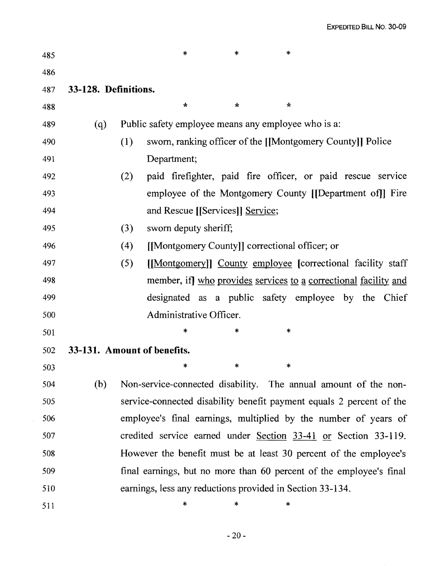| 485 |                      | *<br>*<br>*                                                          |
|-----|----------------------|----------------------------------------------------------------------|
| 486 |                      |                                                                      |
| 487 | 33-128. Definitions. |                                                                      |
| 488 |                      | $\star$<br>$\star$<br>$\star$                                        |
| 489 | (q)                  | Public safety employee means any employee who is a:                  |
| 490 |                      | sworn, ranking officer of the [[Montgomery County]] Police<br>(1)    |
| 491 |                      | Department;                                                          |
| 492 |                      | paid firefighter, paid fire officer, or paid rescue service<br>(2)   |
| 493 |                      | employee of the Montgomery County [[Department of]] Fire             |
| 494 |                      | and Rescue [[Services]] Service;                                     |
| 495 |                      | (3)<br>sworn deputy sheriff;                                         |
| 496 |                      | (4)<br>[[Montgomery County]] correctional officer; or                |
| 497 |                      | (5)<br>[[Montgomery]] County employee [correctional facility staff]  |
| 498 |                      | member, if] who provides services to a correctional facility and     |
| 499 |                      | designated as a public safety employee by the Chief                  |
| 500 |                      | Administrative Officer.                                              |
| 501 |                      | *<br>*<br>*                                                          |
| 502 |                      | 33-131. Amount of benefits.                                          |
| 503 |                      | *<br>*<br>*                                                          |
| 504 | (b)                  | Non-service-connected disability. The annual amount of the non-      |
| 505 |                      | service-connected disability benefit payment equals 2 percent of the |
| 506 |                      | employee's final earnings, multiplied by the number of years of      |
| 507 |                      | credited service earned under $Section 33-41$ or Section 33-119.     |
| 508 |                      | However the benefit must be at least 30 percent of the employee's    |
| 509 |                      | final earnings, but no more than 60 percent of the employee's final  |
| 510 |                      | earnings, less any reductions provided in Section 33-134.            |
| 511 |                      | *<br>*<br>*                                                          |

 $\sim 10^{-1}$